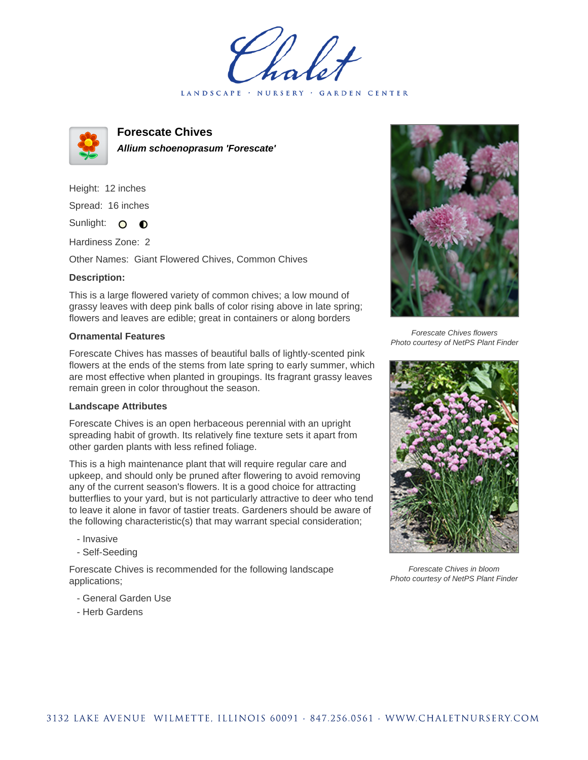LANDSCAPE · NURSERY · GARDEN CENTER



**Forescate Chives Allium schoenoprasum 'Forescate'**

Height: 12 inches Spread: 16 inches Sunlight: O **O** 

Hardiness Zone: 2

Other Names: Giant Flowered Chives, Common Chives

## **Description:**

This is a large flowered variety of common chives; a low mound of grassy leaves with deep pink balls of color rising above in late spring; flowers and leaves are edible; great in containers or along borders

## **Ornamental Features**

Forescate Chives has masses of beautiful balls of lightly-scented pink flowers at the ends of the stems from late spring to early summer, which are most effective when planted in groupings. Its fragrant grassy leaves remain green in color throughout the season.

## **Landscape Attributes**

Forescate Chives is an open herbaceous perennial with an upright spreading habit of growth. Its relatively fine texture sets it apart from other garden plants with less refined foliage.

This is a high maintenance plant that will require regular care and upkeep, and should only be pruned after flowering to avoid removing any of the current season's flowers. It is a good choice for attracting butterflies to your yard, but is not particularly attractive to deer who tend to leave it alone in favor of tastier treats. Gardeners should be aware of the following characteristic(s) that may warrant special consideration;

- Invasive
- Self-Seeding

Forescate Chives is recommended for the following landscape applications;

- General Garden Use
- Herb Gardens



Forescate Chives flowers Photo courtesy of NetPS Plant Finder



Forescate Chives in bloom Photo courtesy of NetPS Plant Finder